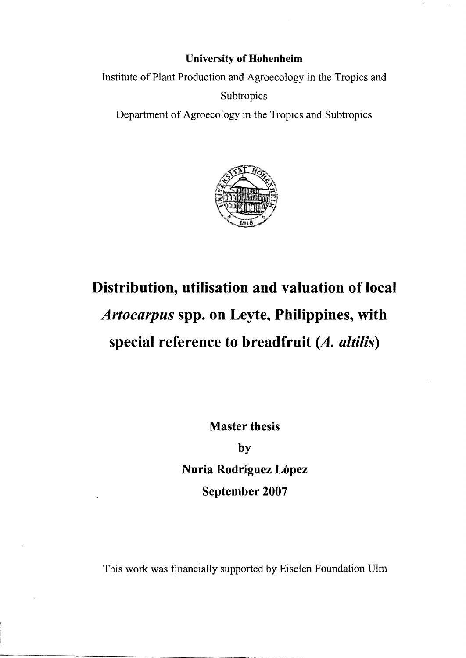## **University of Hohenheim**

Institute of Plant Production and Agroecology in the Tropics and **Subtropics** 

Departrnent of Agroecology in the Tropics and Subtropics



## **Distribution, utiIisation and valuation of local**  *Artocarpus* **spp. on Leyte, PhiIippines, with special reference to breadfruit** *(A. altilis)*

**Master thesis** 

**by Nuria Rodríguez López September 2007** 

This work was financially supported by Eiselen Foundation Ulrn